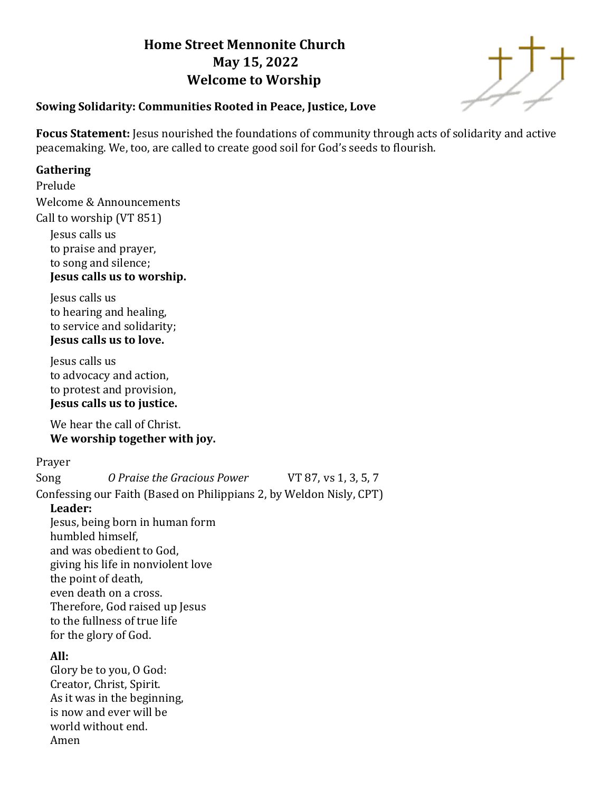# **Home Street Mennonite Church May 15, 2022 Welcome to Worship**



# **Sowing Solidarity: Communities Rooted in Peace, Justice, Love**

**Focus Statement:** Jesus nourished the foundations of community through acts of solidarity and active peacemaking. We, too, are called to create good soil for God's seeds to flourish.

# **Gathering**

Prelude Welcome & Announcements Call to worship (VT 851)

Jesus calls us to praise and prayer, to song and silence; **Jesus calls us to worship.**

Jesus calls us to hearing and healing, to service and solidarity; **Jesus calls us to love.**

Jesus calls us to advocacy and action, to protest and provision, **Jesus calls us to justice.**

We hear the call of Christ. **We worship together with joy.**

Prayer

Song *O Praise the Gracious Power* VT 87, vs 1, 3, 5, 7 Confessing our Faith (Based on Philippians 2, by Weldon Nisly, CPT) **Leader:** Jesus, being born in human form humbled himself, and was obedient to God, giving his life in nonviolent love the point of death, even death on a cross. Therefore, God raised up Jesus to the fullness of true life for the glory of God. **All:** 

Glory be to you, O God: Creator, Christ, Spirit. As it was in the beginning, is now and ever will be world without end. Amen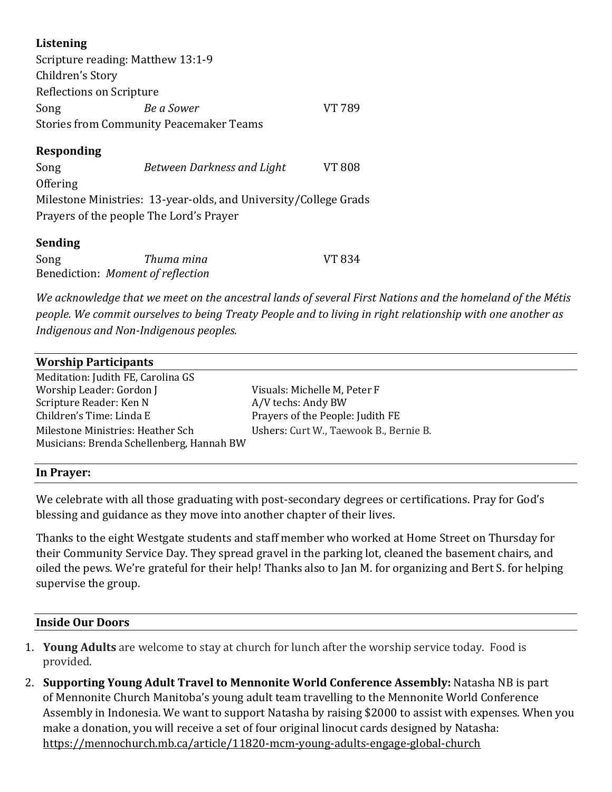# **Listening**

| Scripture reading: Matthew 13:1-9                                |                            |               |  |  |  |
|------------------------------------------------------------------|----------------------------|---------------|--|--|--|
| Children's Story                                                 |                            |               |  |  |  |
| Reflections on Scripture                                         |                            |               |  |  |  |
| Song                                                             | Be a Sower                 | VT 789        |  |  |  |
| <b>Stories from Community Peacemaker Teams</b>                   |                            |               |  |  |  |
| <b>Responding</b>                                                |                            |               |  |  |  |
| Song                                                             | Between Darkness and Light | <b>VT 808</b> |  |  |  |
| Offering                                                         |                            |               |  |  |  |
| Milestone Ministries: 13-year-olds, and University/College Grads |                            |               |  |  |  |
| Prayers of the people The Lord's Prayer                          |                            |               |  |  |  |
| <b>Sending</b>                                                   |                            |               |  |  |  |
| Song                                                             | Thuma mina                 | VT 834        |  |  |  |
| Benediction: Moment of reflection                                |                            |               |  |  |  |

*We acknowledge that we meet on the ancestral lands of several First Nations and the homeland of the Métis people. We commit ourselves to being Treaty People and to living in right relationship with one another as Indigenous and Non-Indigenous peoples.* 

| <b>Worship Participants</b>               |                                        |  |  |  |
|-------------------------------------------|----------------------------------------|--|--|--|
| Meditation: Judith FE, Carolina GS        |                                        |  |  |  |
| Worship Leader: Gordon J                  | Visuals: Michelle M, Peter F           |  |  |  |
| Scripture Reader: Ken N                   | A/V techs: Andy BW                     |  |  |  |
| Children's Time: Linda E                  | Prayers of the People: Judith FE       |  |  |  |
| Milestone Ministries: Heather Sch         | Ushers: Curt W., Taewook B., Bernie B. |  |  |  |
| Musicians: Brenda Schellenberg, Hannah BW |                                        |  |  |  |
|                                           |                                        |  |  |  |

### **In Prayer:**

We celebrate with all those graduating with post-secondary degrees or certifications. Pray for God's blessing and guidance as they move into another chapter of their lives.

Thanks to the eight Westgate students and staff member who worked at Home Street on Thursday for their Community Service Day. They spread gravel in the parking lot, cleaned the basement chairs, and oiled the pews. We're grateful for their help! Thanks also to Jan M. for organizing and Bert S. for helping supervise the group.

# **Inside Our Doors**

- 1. **Young Adults** are welcome to stay at church for lunch after the worship service today. Food is provided.
- 2. **Supporting Young Adult Travel to Mennonite World Conference Assembly:** Natasha NB is part of Mennonite Church Manitoba's young adult team travelling to the Mennonite World Conference Assembly in Indonesia. We want to support Natasha by raising \$2000 to assist with expenses. When you make a donation, you will receive a set of four original linocut cards designed by Natasha: <https://mennochurch.mb.ca/article/11820-mcm-young-adults-engage-global-church>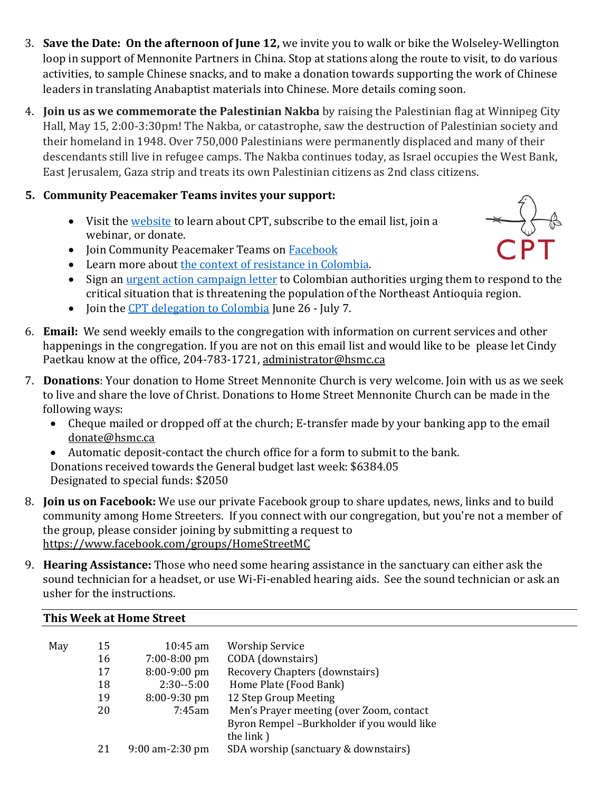- 3. **Save the Date: On the afternoon of June 12,** we invite you to walk or bike the Wolseley-Wellington loop in support of Mennonite Partners in China. Stop at stations along the route to visit, to do various activities, to sample Chinese snacks, and to make a donation towards supporting the work of Chinese leaders in translating Anabaptist materials into Chinese. More details coming soon.
- 4. **Join us as we commemorate the Palestinian Nakba** by raising the Palestinian flag at Winnipeg City Hall, May 15, 2:00-3:30pm! The Nakba, or catastrophe, saw the destruction of Palestinian society and their homeland in 1948. Over 750,000 Palestinians were permanently displaced and many of their descendants still live in refugee camps. The Nakba continues today, as Israel occupies the West Bank, East Jerusalem, Gaza strip and treats its own Palestinian citizens as 2nd class citizens.

# **5. Community Peacemaker Teams invites your support:**

 Visit the [website](https://cpt.org/) to learn about CPT, subscribe to the email list, join a webinar, or donate.



- Join Community Peacemaker Teams on [Facebook](https://www.facebook.com/groups/5042659409)
- Learn more about [the context of resistance in Colombia.](https://docs.google.com/document/d/1VNJF0HmJy_C6eRNxnJ1JjKa_2qFLBTNJZsbHhqFi0u4/edit)
- Sign an [urgent action campaign letter](https://cpt.org/campaigns/urge-colombian-authorities-to-respond-to-the-humanitarian-crisis) to Colombian authorities urging them to respond to the critical situation that is threatening the population of the Northeast Antioquia region.
- Join the [CPT delegation to Colombia](https://cpt.org/delegations#:~:text=CPT%20sends%20short%2Dterm%20(7,ground%20experiment%20in%20non%2Dviolence.) June 26 July 7.
- 6. **Email:** We send weekly emails to the congregation with information on current services and other happenings in the congregation. If you are not on this email list and would like to be please let Cindy Paetkau know at the office, 204-783-1721, [administrator@hsmc.ca](mailto:administrator@hsmc.ca)
- 7. **Donations**: Your donation to Home Street Mennonite Church is very welcome. Join with us as we seek to live and share the love of Christ. Donations to Home Street Mennonite Church can be made in the following ways:
	- Cheque mailed or dropped off at the church; E-transfer made by your banking app to the email [donate@hsmc.ca](mailto:donate@hsmc.ca)
	- Automatic deposit-contact the church office for a form to submit to the bank. Donations received towards the General budget last week: \$6384.05 Designated to special funds: \$2050
- 8. **Join us on Facebook:** We use our private Facebook group to share updates, news, links and to build community among Home Streeters. If you connect with our congregation, but you're not a member of the group, please consider joining by submitting a request to <https://www.facebook.com/groups/HomeStreetMC>
- 9. **Hearing Assistance:** Those who need some hearing assistance in the sanctuary can either ask the sound technician for a headset, or use Wi-Fi-enabled hearing aids. See the sound technician or ask an usher for the instructions.

# **This Week at Home Street**

| May | 15 | $10:45$ am        | <b>Worship Service</b>                     |
|-----|----|-------------------|--------------------------------------------|
|     | 16 | 7:00-8:00 pm      | CODA (downstairs)                          |
|     | 17 | 8:00-9:00 pm      | Recovery Chapters (downstairs)             |
|     | 18 | $2:30 - 5:00$     | Home Plate (Food Bank)                     |
|     | 19 | 8:00-9:30 pm      | 12 Step Group Meeting                      |
|     | 20 | 7:45am            | Men's Prayer meeting (over Zoom, contact   |
|     |    |                   | Byron Rempel -Burkholder if you would like |
|     |    |                   | the link)                                  |
|     | 21 | $9:00$ am-2:30 pm | SDA worship (sanctuary & downstairs)       |
|     |    |                   |                                            |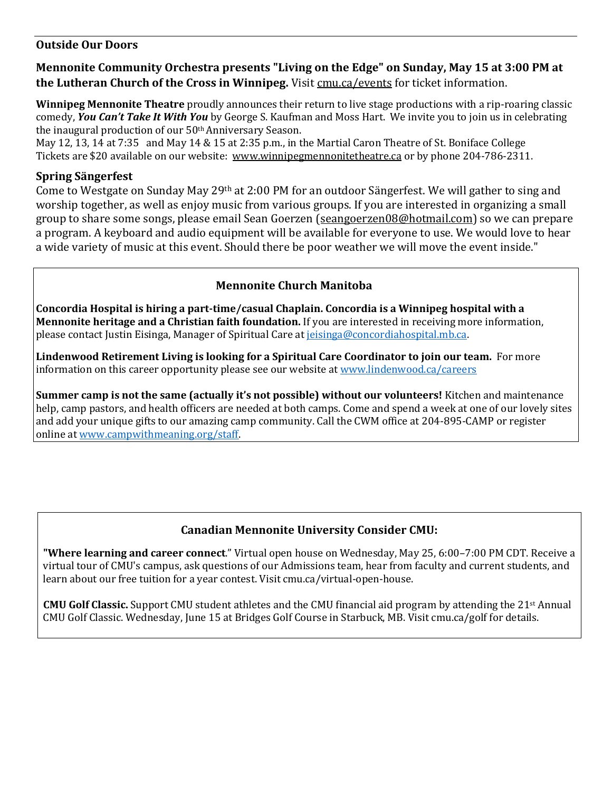#### **Outside Our Doors**

# **Mennonite Community Orchestra presents "Living on the Edge" on Sunday, May 15 at 3:00 PM at the Lutheran Church of the Cross in Winnipeg.** Visit [cmu.ca/events](http://cmu.ca/events) for ticket information.

**Winnipeg Mennonite Theatre** proudly announces their return to live stage productions with a rip-roaring classic comedy, *You Can't Take It With You* by George S. Kaufman and Moss Hart. We invite you to join us in celebrating the inaugural production of our 50<sup>th</sup> Anniversary Season.

May 12, 13, 14 at 7:35 and May 14 & 15 at 2:35 p.m., in the Martial Caron Theatre of St. Boniface College Tickets are \$20 available on our website: [www.winnipegmennonitetheatre.ca](http://www.winnipegmennonitetheatre.ca/) or by phone 204-786-2311.

#### **Spring Sängerfest**

Come to Westgate on Sunday May 29th at 2:00 PM for an outdoor Sängerfest. We will gather to sing and worship together, as well as enjoy music from various groups. If you are interested in organizing a small group to share some songs, please email Sean Goerzen [\(seangoerzen08@hotmail.com\)](mailto:seangoerzen08@hotmail.com) so we can prepare a program. A keyboard and audio equipment will be available for everyone to use. We would love to hear a wide variety of music at this event. Should there be poor weather we will move the event inside."

#### **Mennonite Church Manitoba**

**Concordia Hospital is hiring a part-time/casual Chaplain. Concordia is a Winnipeg hospital with a Mennonite heritage and a Christian faith foundation.** If you are interested in receiving more information, please contact Justin Eisinga, Manager of Spiritual Care at [jeisinga@concordiahospital.mb.ca.](mailto:jeisinga@concordiahospital.mb.ca)

**Lindenwood Retirement Living is looking for a Spiritual Care Coordinator to join our team.** For more information on this career opportunity please see our website at [www.lindenwood.ca/careers](http://www.lindenwood.ca/careers)

**Summer camp is not the same (actually it's not possible) without our volunteers!** Kitchen and maintenance help, camp pastors, and health officers are needed at both camps. Come and spend a week at one of our lovely sites and add your unique gifts to our amazing camp community. Call the CWM office at 204-895-CAMP or register online at [www.campwithmeaning.org/staff.](https://mennochurch.us17.list-manage.com/track/click?u=ad5b62cc11dbd51616d36b2e2&id=f61223d21e&e=e5164c07cf)

#### **Canadian Mennonite University Consider CMU:**

**"Where learning and career connect**." Virtual open house on Wednesday, May 25, 6:00–7:00 PM CDT. Receive a virtual tour of CMU's campus, ask questions of our Admissions team, hear from faculty and current students, and learn about our free tuition for a year contest. Visit cmu.ca/virtual-open-house.

**CMU Golf Classic.** Support CMU student athletes and the CMU financial aid program by attending the 21<sup>st</sup> Annual CMU Golf Classic. Wednesday, June 15 at Bridges Golf Course in Starbuck, MB. Visit cmu.ca/golf for details.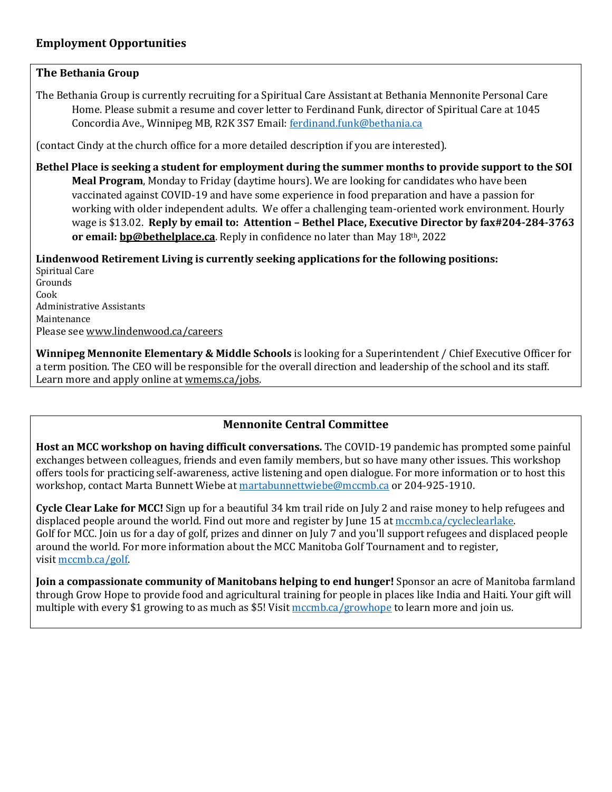### **Employment Opportunities**

#### **The Bethania Group**

The Bethania Group is currently recruiting for a Spiritual Care Assistant at Bethania Mennonite Personal Care Home. Please submit a resume and cover letter to Ferdinand Funk, director of Spiritual Care at 1045 Concordia Ave., Winnipeg MB, R2K 3S7 Email: [ferdinand.funk@bethania.ca](mailto:ferdinand.funk@bethania.ca)

(contact Cindy at the church office for a more detailed description if you are interested).

**Bethel Place is seeking a student for employment during the summer months to provide support to the SOI Meal Program**, Monday to Friday (daytime hours). We are looking for candidates who have been vaccinated against COVID-19 and have some experience in food preparation and have a passion for working with older independent adults. We offer a challenging team-oriented work environment. Hourly wage is \$13.02. **Reply by email to: Attention – Bethel Place, Executive Director by fax#204-284-3763 or email[: bp@bethelplace.ca](mailto:bp@bethelplace.ca)**. Reply in confidence no later than May 18th, 2022

**Lindenwood Retirement Living is currently seeking applications for the following positions:**

Spiritual Care Grounds Cook Administrative Assistants Maintenance Please see [www.lindenwood.ca/careers](http://www.lindenwood.ca/careers)

**Winnipeg Mennonite Elementary & Middle Schools** is looking for a Superintendent / Chief Executive Officer for a term position. The CEO will be responsible for the overall direction and leadership of the school and its staff. Learn more and apply online at [wmems.ca/jobs.](http://wmems.ca/jobs)

#### **Mennonite Central Committee**

**Host an MCC workshop on having difficult conversations.** The COVID-19 pandemic has prompted some painful exchanges between colleagues, friends and even family members, but so have many other issues. This workshop offers tools for practicing self-awareness, active listening and open dialogue. For more information or to host this workshop, contact Marta Bunnett Wiebe at [martabunnettwiebe@mccmb.ca](mailto:martabunnettwiebe@mccmb.ca) or 204-925-1910.

**Cycle Clear Lake for MCC!** Sign up for a beautiful 34 km trail ride on July 2 and raise money to help refugees and displaced people around the world. Find out more and register by June 15 at [mccmb.ca/cycleclearlake.](https://mennonitecentralcommittee.cmail19.com/t/i-l-cukdua-tjudtuujtr-j/) Golf for MCC. Join us for a day of golf, prizes and dinner on July 7 and you'll support refugees and displaced people around the world. For more information about the MCC Manitoba Golf Tournament and to register, visit [mccmb.ca/golf.](https://mennonitecentralcommittee.cmail19.com/t/i-l-cukdua-tjudtuujtr-t/)

**Join a compassionate community of Manitobans helping to end hunger!** Sponsor an acre of Manitoba farmland through Grow Hope to provide food and agricultural training for people in places like India and Haiti. Your gift will multiple with every \$1 growing to as much as \$5! Visit [mccmb.ca/growhope](https://mennonitecentralcommittee.cmail19.com/t/i-l-cukdua-tjudtuujtr-i/) to learn more and join us.